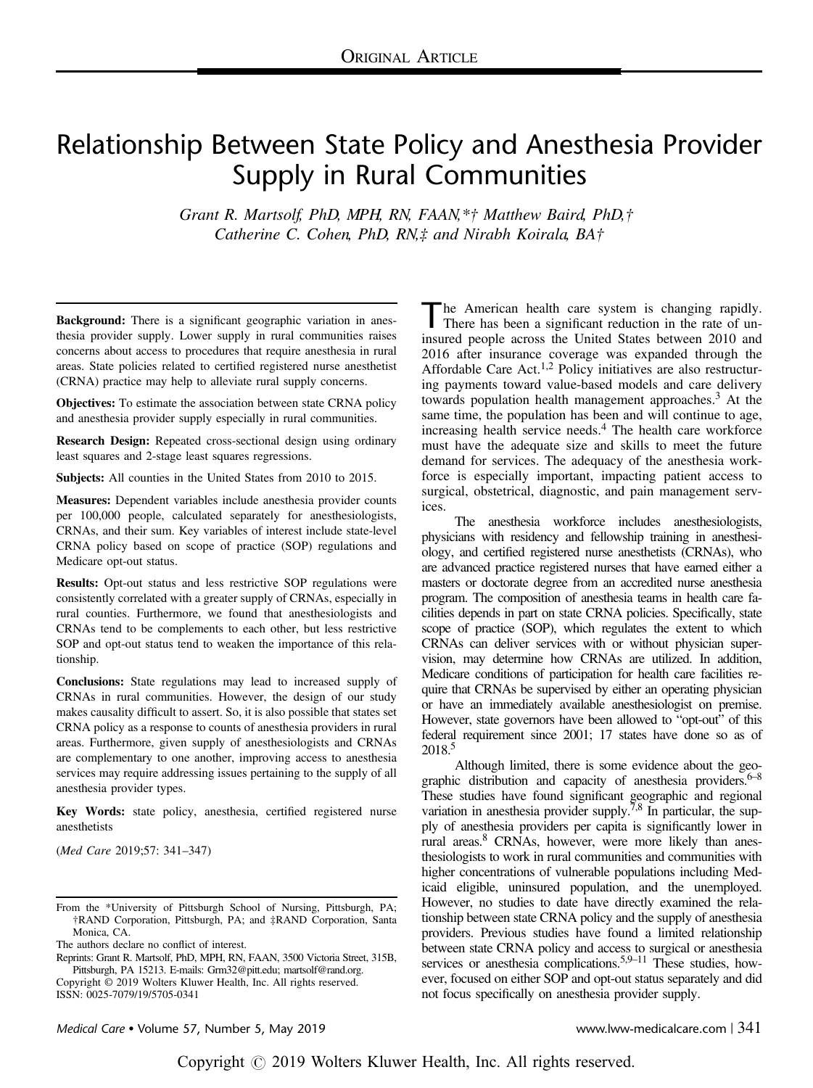# Relationship Between State Policy and Anesthesia Provider Supply in Rural Communities

Grant R. Martsolf, PhD, MPH, RN, FAAN,\*† Matthew Baird, PhD,† Catherine C. Cohen, PhD, RN,‡ and Nirabh Koirala, BA†

Background: There is a significant geographic variation in anesthesia provider supply. Lower supply in rural communities raises concerns about access to procedures that require anesthesia in rural areas. State policies related to certified registered nurse anesthetist (CRNA) practice may help to alleviate rural supply concerns.

Objectives: To estimate the association between state CRNA policy and anesthesia provider supply especially in rural communities.

Research Design: Repeated cross-sectional design using ordinary least squares and 2-stage least squares regressions.

Subjects: All counties in the United States from 2010 to 2015.

Measures: Dependent variables include anesthesia provider counts per 100,000 people, calculated separately for anesthesiologists, CRNAs, and their sum. Key variables of interest include state-level CRNA policy based on scope of practice (SOP) regulations and Medicare opt-out status.

Results: Opt-out status and less restrictive SOP regulations were consistently correlated with a greater supply of CRNAs, especially in rural counties. Furthermore, we found that anesthesiologists and CRNAs tend to be complements to each other, but less restrictive SOP and opt-out status tend to weaken the importance of this relationship.

Conclusions: State regulations may lead to increased supply of CRNAs in rural communities. However, the design of our study makes causality difficult to assert. So, it is also possible that states set CRNA policy as a response to counts of anesthesia providers in rural areas. Furthermore, given supply of anesthesiologists and CRNAs are complementary to one another, improving access to anesthesia services may require addressing issues pertaining to the supply of all anesthesia provider types.

Key Words: state policy, anesthesia, certified registered nurse anesthetists

(Med Care 2019;57: 341–347)

Reprints: Grant R. Martsolf, PhD, MPH, RN, FAAN, 3500 Victoria Street, 315B, Pittsburgh, PA 15213. E-mails: [Grm32@pitt.edu;](mailto:Grm32@pitt.edu) [martsolf@rand.org.](mailto:martsolf@rand.org)

Copyright © 2019 Wolters Kluwer Health, Inc. All rights reserved. ISSN: 0025-7079/19/5705-0341

The American health care system is changing rapidly.<br>There has been a significant reduction in the rate of uninsured people across the United States between 2010 and 2016 after insurance coverage was expanded through the Affordable Care Act.[1,2](#page-6-0) Policy initiatives are also restructuring payments toward value-based models and care delivery towards population health management approaches.<sup>[3](#page-6-0)</sup> At the same time, the population has been and will continue to age, increasing health service needs.<sup>[4](#page-6-0)</sup> The health care workforce must have the adequate size and skills to meet the future demand for services. The adequacy of the anesthesia workforce is especially important, impacting patient access to surgical, obstetrical, diagnostic, and pain management services.

The anesthesia workforce includes anesthesiologists, physicians with residency and fellowship training in anesthesiology, and certified registered nurse anesthetists (CRNAs), who are advanced practice registered nurses that have earned either a masters or doctorate degree from an accredited nurse anesthesia program. The composition of anesthesia teams in health care facilities depends in part on state CRNA policies. Specifically, state scope of practice (SOP), which regulates the extent to which CRNAs can deliver services with or without physician supervision, may determine how CRNAs are utilized. In addition, Medicare conditions of participation for health care facilities require that CRNAs be supervised by either an operating physician or have an immediately available anesthesiologist on premise. However, state governors have been allowed to "opt-out" of this federal requirement since 2001; 17 states have done so as of 2018<sup>5</sup>

Although limited, there is some evidence about the geographic distribution and capacity of anesthesia providers. $6-8$  $6-8$ These studies have found significant geographic and regional variation in anesthesia provider supply.<sup>[7,8](#page-6-0)</sup> In particular, the supply of anesthesia providers per capita is significantly lower in rural areas.<sup>8</sup> CRNAs, however, were more likely than anesthesiologists to work in rural communities and communities with higher concentrations of vulnerable populations including Medicaid eligible, uninsured population, and the unemployed. However, no studies to date have directly examined the relationship between state CRNA policy and the supply of anesthesia providers. Previous studies have found a limited relationship between state CRNA policy and access to surgical or anesthesia services or anesthesia complications.<sup>5,9–11</sup> These studies, however, focused on either SOP and opt-out status separately and did not focus specifically on anesthesia provider supply.

Medical Care • Volume 57, Number 5, May 2019 www.lww-medicalcare.com | 341

From the \*University of Pittsburgh School of Nursing, Pittsburgh, PA; †RAND Corporation, Pittsburgh, PA; and ‡RAND Corporation, Santa Monica, CA.

The authors declare no conflict of interest.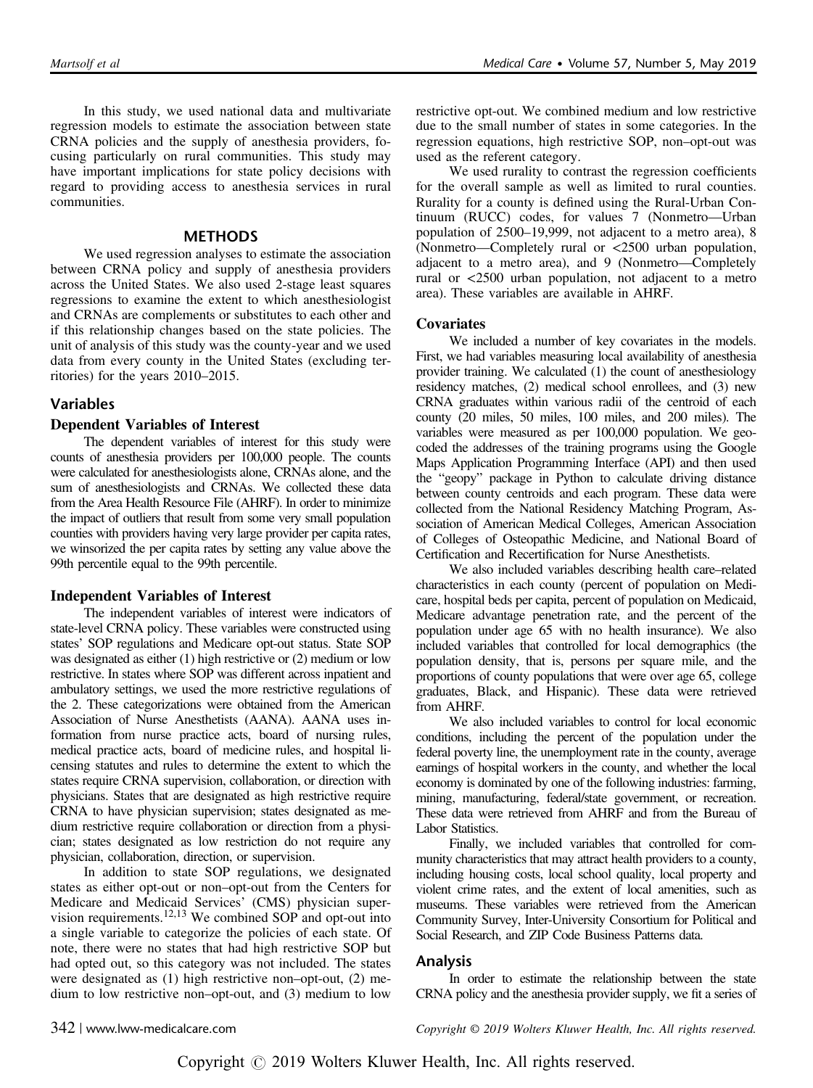In this study, we used national data and multivariate regression models to estimate the association between state CRNA policies and the supply of anesthesia providers, focusing particularly on rural communities. This study may have important implications for state policy decisions with regard to providing access to anesthesia services in rural communities.

# **METHODS**

We used regression analyses to estimate the association between CRNA policy and supply of anesthesia providers across the United States. We also used 2-stage least squares regressions to examine the extent to which anesthesiologist and CRNAs are complements or substitutes to each other and if this relationship changes based on the state policies. The unit of analysis of this study was the county-year and we used data from every county in the United States (excluding territories) for the years 2010–2015.

# Variables

## Dependent Variables of Interest

The dependent variables of interest for this study were counts of anesthesia providers per 100,000 people. The counts were calculated for anesthesiologists alone, CRNAs alone, and the sum of anesthesiologists and CRNAs. We collected these data from the Area Health Resource File (AHRF). In order to minimize the impact of outliers that result from some very small population counties with providers having very large provider per capita rates, we winsorized the per capita rates by setting any value above the 99th percentile equal to the 99th percentile.

### Independent Variables of Interest

The independent variables of interest were indicators of state-level CRNA policy. These variables were constructed using states' SOP regulations and Medicare opt-out status. State SOP was designated as either (1) high restrictive or (2) medium or low restrictive. In states where SOP was different across inpatient and ambulatory settings, we used the more restrictive regulations of the 2. These categorizations were obtained from the American Association of Nurse Anesthetists (AANA). AANA uses information from nurse practice acts, board of nursing rules, medical practice acts, board of medicine rules, and hospital licensing statutes and rules to determine the extent to which the states require CRNA supervision, collaboration, or direction with physicians. States that are designated as high restrictive require CRNA to have physician supervision; states designated as medium restrictive require collaboration or direction from a physician; states designated as low restriction do not require any physician, collaboration, direction, or supervision.

In addition to state SOP regulations, we designated states as either opt-out or non–opt-out from the Centers for Medicare and Medicaid Services' (CMS) physician supervision requirements.[12,13](#page-6-0) We combined SOP and opt-out into a single variable to categorize the policies of each state. Of note, there were no states that had high restrictive SOP but had opted out, so this category was not included. The states were designated as (1) high restrictive non–opt-out, (2) medium to low restrictive non–opt-out, and (3) medium to low restrictive opt-out. We combined medium and low restrictive due to the small number of states in some categories. In the regression equations, high restrictive SOP, non–opt-out was used as the referent category.

We used rurality to contrast the regression coefficients for the overall sample as well as limited to rural counties. Rurality for a county is defined using the Rural-Urban Continuum (RUCC) codes, for values 7 (Nonmetro—Urban population of 2500–19,999, not adjacent to a metro area), 8 (Nonmetro—Completely rural or <2500 urban population, adjacent to a metro area), and 9 (Nonmetro—Completely rural or <2500 urban population, not adjacent to a metro area). These variables are available in AHRF.

# **Covariates**

We included a number of key covariates in the models. First, we had variables measuring local availability of anesthesia provider training. We calculated (1) the count of anesthesiology residency matches, (2) medical school enrollees, and (3) new CRNA graduates within various radii of the centroid of each county (20 miles, 50 miles, 100 miles, and 200 miles). The variables were measured as per 100,000 population. We geocoded the addresses of the training programs using the Google Maps Application Programming Interface (API) and then used the "geopy" package in Python to calculate driving distance between county centroids and each program. These data were collected from the National Residency Matching Program, Association of American Medical Colleges, American Association of Colleges of Osteopathic Medicine, and National Board of Certification and Recertification for Nurse Anesthetists.

We also included variables describing health care–related characteristics in each county (percent of population on Medicare, hospital beds per capita, percent of population on Medicaid, Medicare advantage penetration rate, and the percent of the population under age 65 with no health insurance). We also included variables that controlled for local demographics (the population density, that is, persons per square mile, and the proportions of county populations that were over age 65, college graduates, Black, and Hispanic). These data were retrieved from AHRF.

We also included variables to control for local economic conditions, including the percent of the population under the federal poverty line, the unemployment rate in the county, average earnings of hospital workers in the county, and whether the local economy is dominated by one of the following industries: farming, mining, manufacturing, federal/state government, or recreation. These data were retrieved from AHRF and from the Bureau of Labor Statistics.

Finally, we included variables that controlled for community characteristics that may attract health providers to a county, including housing costs, local school quality, local property and violent crime rates, and the extent of local amenities, such as museums. These variables were retrieved from the American Community Survey, Inter-University Consortium for Political and Social Research, and ZIP Code Business Patterns data.

### Analysis

In order to estimate the relationship between the state CRNA policy and the anesthesia provider supply, we fit a series of

342 | www.lww-medicalcare.com Copyright © 2019 Wolters Kluwer Health, Inc. All rights reserved.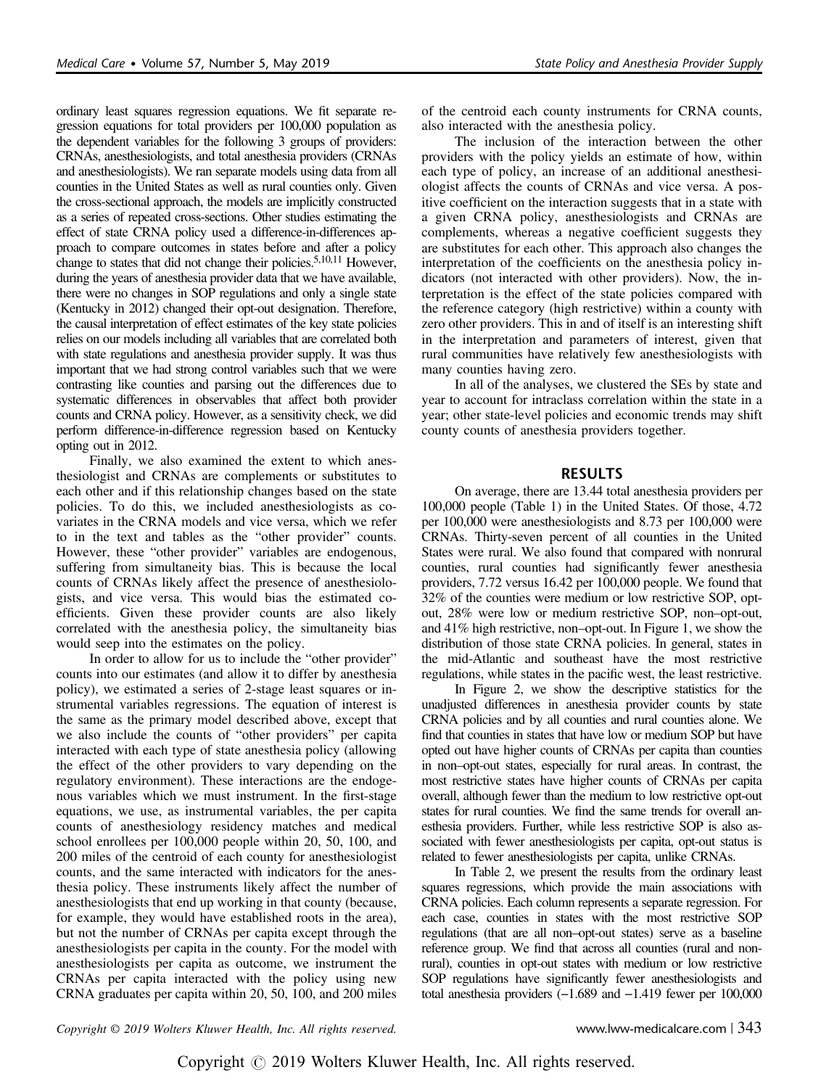ordinary least squares regression equations. We fit separate regression equations for total providers per 100,000 population as the dependent variables for the following 3 groups of providers: CRNAs, anesthesiologists, and total anesthesia providers (CRNAs and anesthesiologists). We ran separate models using data from all counties in the United States as well as rural counties only. Given the cross-sectional approach, the models are implicitly constructed as a series of repeated cross-sections. Other studies estimating the effect of state CRNA policy used a difference-in-differences approach to compare outcomes in states before and after a policy change to states that did not change their policies.<sup>5,10,11</sup> However, during the years of anesthesia provider data that we have available, there were no changes in SOP regulations and only a single state (Kentucky in 2012) changed their opt-out designation. Therefore, the causal interpretation of effect estimates of the key state policies relies on our models including all variables that are correlated both with state regulations and anesthesia provider supply. It was thus important that we had strong control variables such that we were contrasting like counties and parsing out the differences due to systematic differences in observables that affect both provider counts and CRNA policy. However, as a sensitivity check, we did perform difference-in-difference regression based on Kentucky opting out in 2012.

Finally, we also examined the extent to which anesthesiologist and CRNAs are complements or substitutes to each other and if this relationship changes based on the state policies. To do this, we included anesthesiologists as covariates in the CRNA models and vice versa, which we refer to in the text and tables as the "other provider" counts. However, these "other provider" variables are endogenous, suffering from simultaneity bias. This is because the local counts of CRNAs likely affect the presence of anesthesiologists, and vice versa. This would bias the estimated coefficients. Given these provider counts are also likely correlated with the anesthesia policy, the simultaneity bias would seep into the estimates on the policy.

In order to allow for us to include the "other provider" counts into our estimates (and allow it to differ by anesthesia policy), we estimated a series of 2-stage least squares or instrumental variables regressions. The equation of interest is the same as the primary model described above, except that we also include the counts of "other providers" per capita interacted with each type of state anesthesia policy (allowing the effect of the other providers to vary depending on the regulatory environment). These interactions are the endogenous variables which we must instrument. In the first-stage equations, we use, as instrumental variables, the per capita counts of anesthesiology residency matches and medical school enrollees per 100,000 people within 20, 50, 100, and 200 miles of the centroid of each county for anesthesiologist counts, and the same interacted with indicators for the anesthesia policy. These instruments likely affect the number of anesthesiologists that end up working in that county (because, for example, they would have established roots in the area), but not the number of CRNAs per capita except through the anesthesiologists per capita in the county. For the model with anesthesiologists per capita as outcome, we instrument the CRNAs per capita interacted with the policy using new CRNA graduates per capita within 20, 50, 100, and 200 miles

of the centroid each county instruments for CRNA counts, also interacted with the anesthesia policy.

The inclusion of the interaction between the other providers with the policy yields an estimate of how, within each type of policy, an increase of an additional anesthesiologist affects the counts of CRNAs and vice versa. A positive coefficient on the interaction suggests that in a state with a given CRNA policy, anesthesiologists and CRNAs are complements, whereas a negative coefficient suggests they are substitutes for each other. This approach also changes the interpretation of the coefficients on the anesthesia policy indicators (not interacted with other providers). Now, the interpretation is the effect of the state policies compared with the reference category (high restrictive) within a county with zero other providers. This in and of itself is an interesting shift in the interpretation and parameters of interest, given that rural communities have relatively few anesthesiologists with many counties having zero.

In all of the analyses, we clustered the SEs by state and year to account for intraclass correlation within the state in a year; other state-level policies and economic trends may shift county counts of anesthesia providers together.

# RESULTS

On average, there are 13.44 total anesthesia providers per 100,000 people ([Table 1\)](#page-3-0) in the United States. Of those, 4.72 per 100,000 were anesthesiologists and 8.73 per 100,000 were CRNAs. Thirty-seven percent of all counties in the United States were rural. We also found that compared with nonrural counties, rural counties had significantly fewer anesthesia providers, 7.72 versus 16.42 per 100,000 people. We found that 32% of the counties were medium or low restrictive SOP, optout, 28% were low or medium restrictive SOP, non–opt-out, and 41% high restrictive, non–opt-out. In [Figure 1,](#page-4-0) we show the distribution of those state CRNA policies. In general, states in the mid-Atlantic and southeast have the most restrictive regulations, while states in the pacific west, the least restrictive.

In [Figure 2](#page-4-0), we show the descriptive statistics for the unadjusted differences in anesthesia provider counts by state CRNA policies and by all counties and rural counties alone. We find that counties in states that have low or medium SOP but have opted out have higher counts of CRNAs per capita than counties in non–opt-out states, especially for rural areas. In contrast, the most restrictive states have higher counts of CRNAs per capita overall, although fewer than the medium to low restrictive opt-out states for rural counties. We find the same trends for overall anesthesia providers. Further, while less restrictive SOP is also associated with fewer anesthesiologists per capita, opt-out status is related to fewer anesthesiologists per capita, unlike CRNAs.

In [Table 2](#page-5-0), we present the results from the ordinary least squares regressions, which provide the main associations with CRNA policies. Each column represents a separate regression. For each case, counties in states with the most restrictive SOP regulations (that are all non–opt-out states) serve as a baseline reference group. We find that across all counties (rural and nonrural), counties in opt-out states with medium or low restrictive SOP regulations have significantly fewer anesthesiologists and total anesthesia providers (−1.689 and −1.419 fewer per 100,000

Copyright © 2019 Wolters Kluwer Health, Inc. All rights reserved. www.lww-medicalcare.com | 343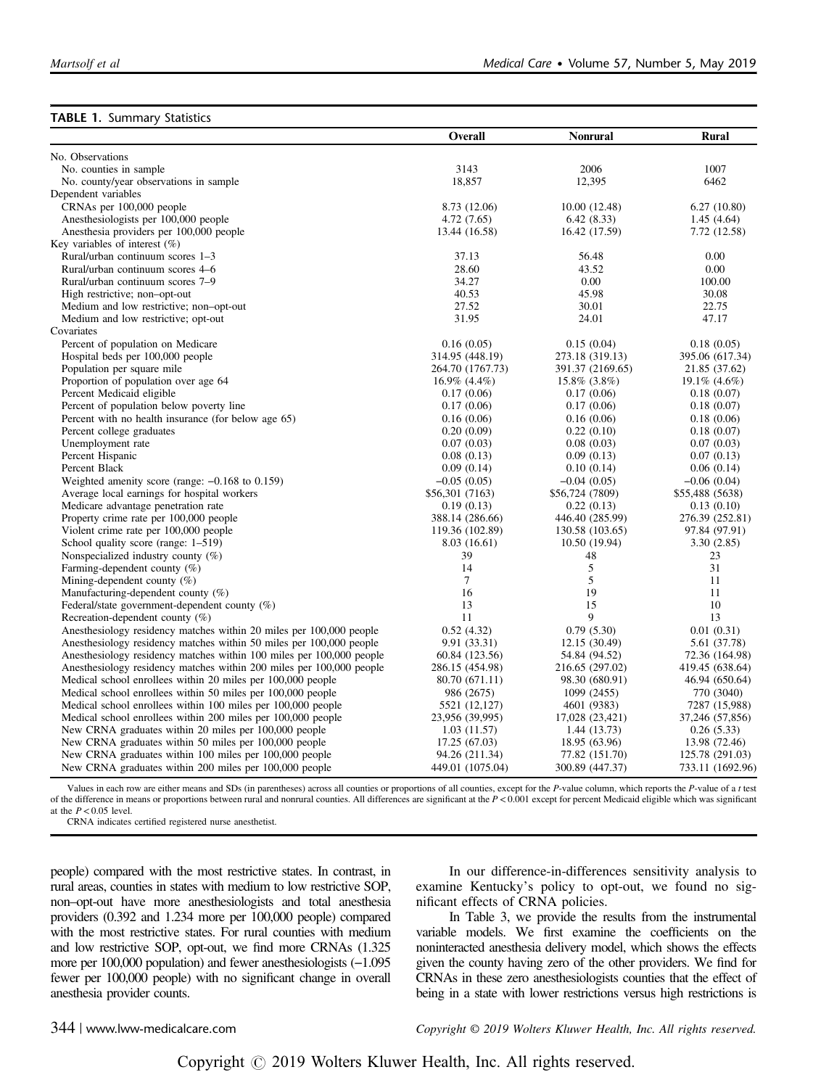<span id="page-3-0"></span>

|                                                                      | Overall            | Nonrural         | Rural            |
|----------------------------------------------------------------------|--------------------|------------------|------------------|
| No. Observations                                                     |                    |                  |                  |
| No. counties in sample.                                              | 3143               | 2006             | 1007             |
| No. county/year observations in sample                               | 18,857             | 12,395           | 6462             |
| Dependent variables                                                  |                    |                  |                  |
| CRNAs per 100,000 people                                             | 8.73 (12.06)       | 10.00 (12.48)    | 6.27(10.80)      |
| Anesthesiologists per 100,000 people                                 | 4.72(7.65)         | 6.42(8.33)       | 1.45(4.64)       |
| Anesthesia providers per 100,000 people                              | 13.44 (16.58)      | 16.42 (17.59)    | 7.72 (12.58)     |
| Key variables of interest $(\%)$                                     |                    |                  |                  |
| Rural/urban continuum scores 1-3                                     | 37.13              | 56.48            | 0.00             |
| Rural/urban continuum scores 4–6                                     | 28.60              | 43.52            | 0.00             |
| Rural/urban continuum scores 7-9                                     | 34.27              | 0.00             | 100.00           |
| High restrictive; non-opt-out                                        | 40.53              | 45.98            | 30.08            |
| Medium and low restrictive; non-opt-out                              | 27.52              | 30.01            | 22.75            |
| Medium and low restrictive; opt-out                                  | 31.95              | 24.01            | 47.17            |
| Covariates                                                           |                    |                  |                  |
| Percent of population on Medicare                                    | 0.16(0.05)         | 0.15(0.04)       | 0.18(0.05)       |
| Hospital beds per 100,000 people                                     | 314.95 (448.19)    | 273.18 (319.13)  | 395.06 (617.34)  |
| Population per square mile                                           | 264.70 (1767.73)   | 391.37 (2169.65) | 21.85 (37.62)    |
| Proportion of population over age 64                                 | $16.9\%$ $(4.4\%)$ | 15.8% (3.8%)     | 19.1% (4.6%)     |
| Percent Medicaid eligible                                            | 0.17(0.06)         | 0.17(0.06)       | 0.18(0.07)       |
| Percent of population below poverty line                             | 0.17(0.06)         | 0.17(0.06)       | 0.18(0.07)       |
| Percent with no health insurance (for below age 65)                  | 0.16(0.06)         | 0.16(0.06)       | 0.18(0.06)       |
| Percent college graduates                                            | 0.20(0.09)         | 0.22(0.10)       | 0.18(0.07)       |
| Unemployment rate                                                    | 0.07(0.03)         | 0.08(0.03)       | 0.07(0.03)       |
| Percent Hispanic                                                     | 0.08(0.13)         | 0.09(0.13)       | 0.07(0.13)       |
| Percent Black                                                        | 0.09(0.14)         | 0.10(0.14)       | 0.06(0.14)       |
| Weighted amenity score (range: $-0.168$ to 0.159)                    | $-0.05(0.05)$      | $-0.04(0.05)$    | $-0.06(0.04)$    |
| Average local earnings for hospital workers                          | \$56,301 (7163)    | \$56,724 (7809)  | \$55,488 (5638)  |
| Medicare advantage penetration rate                                  | 0.19(0.13)         | 0.22(0.13)       | 0.13(0.10)       |
| Property crime rate per 100,000 people                               | 388.14 (286.66)    | 446.40 (285.99)  | 276.39 (252.81)  |
| Violent crime rate per 100,000 people                                | 119.36 (102.89)    | 130.58 (103.65)  | 97.84 (97.91)    |
| School quality score (range: 1–519)                                  | 8.03(16.61)        | 10.50 (19.94)    | 3.30(2.85)       |
| Nonspecialized industry county $(\%)$                                | 39                 | 48               | 23               |
| Farming-dependent county $(\%)$                                      | 14                 | 5                | 31               |
| Mining-dependent county $(\%)$                                       | $\tau$             | 5                | 11               |
| Manufacturing-dependent county (%)                                   | 16                 | 19               | 11               |
| Federal/state government-dependent county $(\%)$                     | 13                 | 15               | 10               |
| Recreation-dependent county $(\%)$                                   | 11                 | 9                | 13               |
| Anesthesiology residency matches within 20 miles per 100,000 people  | 0.52(4.32)         | 0.79(5.30)       | 0.01(0.31)       |
| Anesthesiology residency matches within 50 miles per 100,000 people  | 9.91 (33.31)       | 12.15 (30.49)    | 5.61 (37.78)     |
| Anesthesiology residency matches within 100 miles per 100,000 people | 60.84 (123.56)     | 54.84 (94.52)    | 72.36 (164.98)   |
| Anesthesiology residency matches within 200 miles per 100,000 people | 286.15 (454.98)    | 216.65 (297.02)  | 419.45 (638.64)  |
| Medical school enrollees within 20 miles per 100,000 people          | 80.70 (671.11)     | 98.30 (680.91)   | 46.94 (650.64)   |
| Medical school enrollees within 50 miles per 100,000 people          | 986 (2675)         | 1099 (2455)      | 770 (3040)       |
| Medical school enrollees within 100 miles per 100,000 people         | 5521 (12,127)      | 4601 (9383)      | 7287 (15,988)    |
| Medical school enrollees within 200 miles per 100,000 people         | 23,956 (39,995)    | 17,028 (23,421)  | 37,246 (57,856)  |
| New CRNA graduates within 20 miles per 100,000 people                | 1.03(11.57)        | 1.44 (13.73)     | 0.26(5.33)       |
| New CRNA graduates within 50 miles per 100,000 people                | 17.25 (67.03)      | 18.95 (63.96)    | 13.98 (72.46)    |
| New CRNA graduates within 100 miles per 100,000 people               | 94.26 (211.34)     | 77.82 (151.70)   | 125.78 (291.03)  |
| New CRNA graduates within 200 miles per 100,000 people               | 449.01 (1075.04)   | 300.89 (447.37)  | 733.11 (1692.96) |

Values in each row are either means and SDs (in parentheses) across all counties or proportions of all counties, except for the P-value column, which reports the P-value of a t test of the difference in means or proportions between rural and nonrural counties. All differences are significant at the  $P < 0.001$  except for percent Medicaid eligible which was significant at the  $P < 0.05$  level.

CRNA indicates certified registered nurse anesthetist.

people) compared with the most restrictive states. In contrast, in rural areas, counties in states with medium to low restrictive SOP, non–opt-out have more anesthesiologists and total anesthesia providers (0.392 and 1.234 more per 100,000 people) compared with the most restrictive states. For rural counties with medium and low restrictive SOP, opt-out, we find more CRNAs (1.325 more per 100,000 population) and fewer anesthesiologists (−1.095 fewer per 100,000 people) with no significant change in overall anesthesia provider counts.

In our difference-in-differences sensitivity analysis to examine Kentucky's policy to opt-out, we found no significant effects of CRNA policies.

In [Table 3,](#page-5-0) we provide the results from the instrumental variable models. We first examine the coefficients on the noninteracted anesthesia delivery model, which shows the effects given the county having zero of the other providers. We find for CRNAs in these zero anesthesiologists counties that the effect of being in a state with lower restrictions versus high restrictions is

344 | www.lww-medicalcare.com Copyright © 2019 Wolters Kluwer Health, Inc. All rights reserved.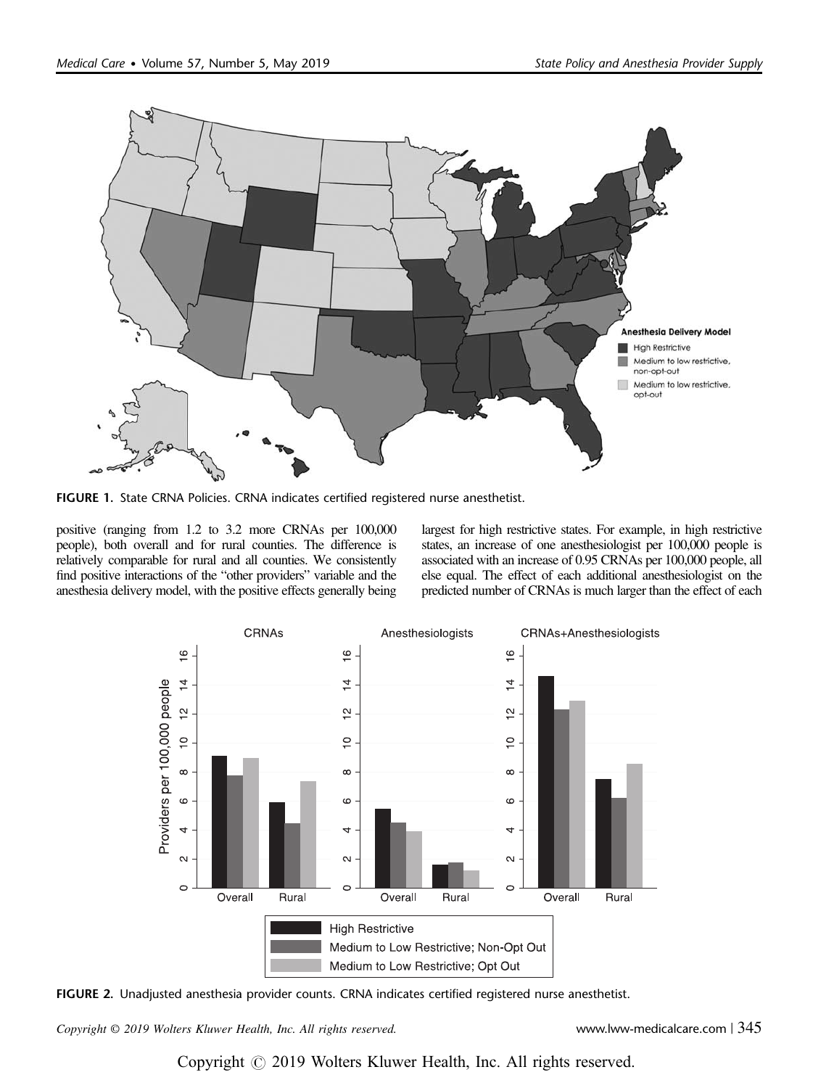<span id="page-4-0"></span>

FIGURE 1. State CRNA Policies. CRNA indicates certified registered nurse anesthetist.

positive (ranging from 1.2 to 3.2 more CRNAs per 100,000 people), both overall and for rural counties. The difference is relatively comparable for rural and all counties. We consistently find positive interactions of the "other providers" variable and the anesthesia delivery model, with the positive effects generally being largest for high restrictive states. For example, in high restrictive states, an increase of one anesthesiologist per 100,000 people is associated with an increase of 0.95 CRNAs per 100,000 people, all else equal. The effect of each additional anesthesiologist on the predicted number of CRNAs is much larger than the effect of each



FIGURE 2. Unadjusted anesthesia provider counts. CRNA indicates certified registered nurse anesthetist.

Copyright © 2019 Wolters Kluwer Health, Inc. All rights reserved. www.lww-medicalcare.com | 345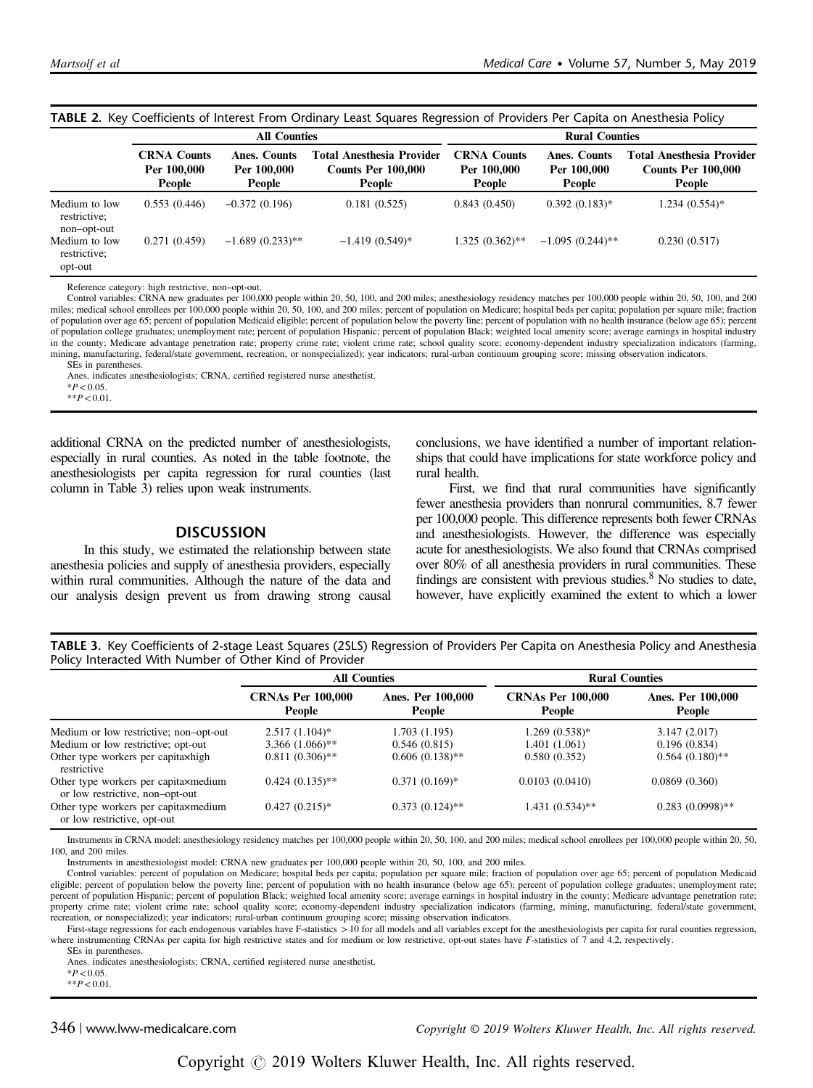|                                              | <b>INDLL 2.</b> Key Coemcients of interest from Ordinary Least Squares Regression of Froviders Fer Capita on Anestriesia Folicy<br><b>All Counties</b> |                                       |                                                                         | <b>Rural Counties</b>                              |                                       |                                                                         |
|----------------------------------------------|--------------------------------------------------------------------------------------------------------------------------------------------------------|---------------------------------------|-------------------------------------------------------------------------|----------------------------------------------------|---------------------------------------|-------------------------------------------------------------------------|
|                                              | <b>CRNA Counts</b><br>Per 100,000<br>People                                                                                                            | Anes. Counts<br>Per 100,000<br>People | <b>Total Anesthesia Provider</b><br><b>Counts Per 100,000</b><br>People | <b>CRNA Counts</b><br>Per 100,000<br><b>People</b> | Anes. Counts<br>Per 100,000<br>People | <b>Total Anesthesia Provider</b><br><b>Counts Per 100,000</b><br>People |
| Medium to low<br>restrictive;<br>non-opt-out | 0.553(0.446)                                                                                                                                           | $-0.372(0.196)$                       | 0.181(0.525)                                                            | 0.843(0.450)                                       | $0.392(0.183)$ *                      | 1.234 (0.554)*                                                          |
| Medium to low<br>restrictive;<br>opt-out     | 0.271(0.459)                                                                                                                                           | $-1.689(0.233)$ **                    | $-1.419(0.549)*$                                                        | $1.325(0.362)$ **                                  | $-1.095(0.244)$ **                    | 0.230(0.517)                                                            |

#### <span id="page-5-0"></span>TABLE 2. Key Coefficients of Interest From Ordinary Least Squares Regression of Providers Per Capita on Anesthesia Policy

Reference category: high restrictive, non–opt-out.

Control variables: CRNA new graduates per 100,000 people within 20, 50, 100, and 200 miles; anesthesiology residency matches per 100,000 people within 20, 50, 100, and 200 miles; medical school enrollees per 100,000 people within 20, 50, 100, and 200 miles; percent of population on Medicare; hospital beds per capita; population per square mile; fraction of population over age 65; percent of population Medicaid eligible; percent of population below the poverty line; percent of population with no health insurance (below age 65); percent of population college graduates; unemployment rate; percent of population Hispanic; percent of population Black; weighted local amenity score; average earnings in hospital industry in the county; Medicare advantage penetration rate; property crime rate; violent crime rate; school quality score; economy-dependent industry specialization indicators (farming, mining, manufacturing, federal/state government, recreation, or nonspecialized); year indicators; rural-urban continuum grouping score; missing observation indicators. SEs in parentheses.

Anes. indicates anesthesiologists; CRNA, certified registered nurse anesthetist.

 $*P < 0.05$ .

 $*$  $P$  < 0.01

additional CRNA on the predicted number of anesthesiologists, especially in rural counties. As noted in the table footnote, the anesthesiologists per capita regression for rural counties (last column in Table 3) relies upon weak instruments.

#### **DISCUSSION**

In this study, we estimated the relationship between state anesthesia policies and supply of anesthesia providers, especially within rural communities. Although the nature of the data and our analysis design prevent us from drawing strong causal conclusions, we have identified a number of important relationships that could have implications for state workforce policy and rural health.

First, we find that rural communities have significantly fewer anesthesia providers than nonrural communities, 8.7 fewer per 100,000 people. This difference represents both fewer CRNAs and anesthesiologists. However, the difference was especially acute for anesthesiologists. We also found that CRNAs comprised over 80% of all anesthesia providers in rural communities. These findings are consistent with previous studies.<sup>8</sup> No studies to date, however, have explicitly examined the extent to which a lower

TABLE 3. Key Coefficients of 2-stage Least Squares (2SLS) Regression of Providers Per Capita on Anesthesia Policy and Anesthesia Policy Interacted With Number of Other Kind of Provider

|                                                                         | <b>All Counties</b>                |                             | <b>Rural Counties</b>              |                             |  |
|-------------------------------------------------------------------------|------------------------------------|-----------------------------|------------------------------------|-----------------------------|--|
|                                                                         | <b>CRNAs Per 100,000</b><br>People | Anes. Per 100,000<br>People | <b>CRNAs Per 100,000</b><br>People | Anes. Per 100,000<br>People |  |
| Medium or low restrictive; non-opt-out                                  | $2.517(1.104)$ *                   | 1.703 (1.195)               | $1.269(0.538)*$                    | 3.147(2.017)                |  |
| Medium or low restrictive; opt-out                                      | $3.366(1.066)$ **                  | 0.546(0.815)                | 1.401 (1.061)                      | 0.196(0.834)                |  |
| Other type workers per capitaxhigh<br>restrictive                       | $0.811(0.306)$ **                  | $0.606(0.138)$ **           | 0.580(0.352)                       | $0.564(0.180)$ **           |  |
| Other type workers per capitaxmedium<br>or low restrictive, non-opt-out | $0.424(0.135)$ **                  | $0.371(0.169)$ *            | 0.0103(0.0410)                     | 0.0869(0.360)               |  |
| Other type workers per capitaxmedium<br>or low restrictive, opt-out     | $0.427(0.215)^{*}$                 | $0.373(0.124)$ **           | 1.431 (0.534)**                    | $0.283(0.0998)$ **          |  |

Instruments in CRNA model: anesthesiology residency matches per 100,000 people within 20, 50, 100, and 200 miles; medical school enrollees per 100,000 people within 20, 50, 100, and 200 miles.

Instruments in anesthesiologist model: CRNA new graduates per 100,000 people within 20, 50, 100, and 200 miles.

Control variables: percent of population on Medicare; hospital beds per capita; population per square mile; fraction of population over age 65; percent of population Medicaid eligible; percent of population below the poverty line; percent of population with no health insurance (below age 65); percent of population college graduates; unemployment rate; percent of population Hispanic; percent of population Black; weighted local amenity score; average earnings in hospital industry in the county; Medicare advantage penetration rate; property crime rate; violent crime rate; school quality score; economy-dependent industry specialization indicators (farming, mining, manufacturing, federal/state government, recreation, or nonspecialized); year indicators; rural-urban continuum grouping score; missing observation indicators.

First-stage regressions for each endogenous variables have F-statistics > 10 for all models and all variables except for the anesthesiologists per capita for rural counties regression, where instrumenting CRNAs per capita for high restrictive states and for medium or low restrictive, opt-out states have F-statistics of 7 and 4.2, respectively.

SEs in parentheses. Anes. indicates anesthesiologists; CRNA, certified registered nurse anesthetist.

 $*P < 0.05$ .

 $*$  $P < 0.01$ .

346 | www.lww-medicalcare.com Copyright © 2019 Wolters Kluwer Health, Inc. All rights reserved.